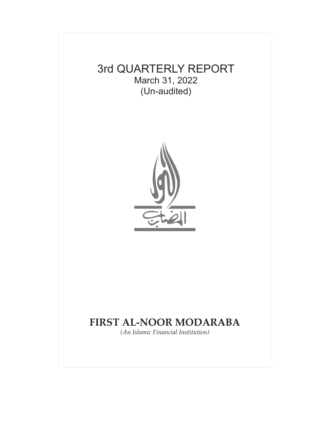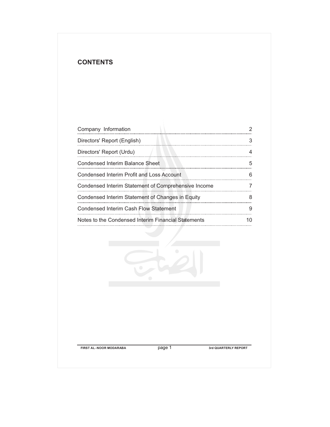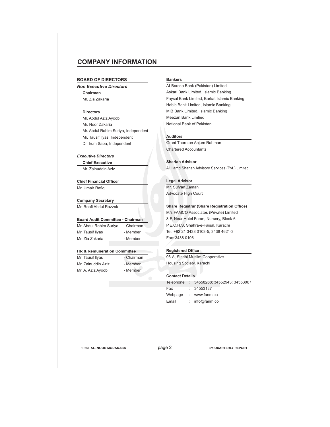# **COMPANY INFORMATION**

#### **BOARD OF DIRECTORS**

*Non Executive Directors* **Chairman** Mr. Zia Zakaria

### **Directors**

Mr. Abdul Aziz Ayoob Mr. Noor Zakaria Mr. Abdul Rahim Suriya, Independent Mr. Tausif llyas, Independent Dr. Irum Saba, Independent

### *Executive Directors*

**Chief Executive**

Mr. Zainuddin Aziz

**Chief Financial Officer** Mr. Umair Rafiq

**Company Secretary** Mr. Roofi Abdul Razzak

### **Board Audit Committee - Chairman**

Mr. Abdul Rahim Suriya - Chairman

Mr. Tausif Ilyas - Member Mr. Zia Zakaria **- Member** 

### **HR & Remuneration Committee**

Mr. Tausif Ilyas - Chairman Mr. Zainuddin Aziz - Member Mr. A. Aziz Ayoob - Member

### **Bankers**

AI-Baraka Bank (Pakistan) Limited Askari Bank Limited, Islamic Banking Faysal Bank Limited, Barkat Islamic Banking Habib Bank Limited, Islamic Banking MIB Bank Limited, Islamic Banking Meezan Bank Limtied National Bank of Pakistan

#### **Auditors**

Grant Thornton Anjum Rahman Chartered Accountants

### **Shariah Advisor**

Al Hamd Shariah Advisory Services (Pvt.) Limited

### **Legal Advisor**

Mr. Sufyan Zaman Advocate High Court

### **Share Registrar (Share Registration Office)**

M/s FAMCO Associates (Private) Limited 8-F, Near Hotel Faran, Nursery, Block-6 P.E.C.H.S, Shahra-e-Faisal, Karachi Tel: +92 21 3438 0103-5, 3438 4621-3 Fax: 3438 0106

### **Registered Office**

96-A, Sindhi Muslim Cooperative Housing Society, Karachi

### **Contact Details**

|         | Telephone : 34558268; 34552943; 34553067 |
|---------|------------------------------------------|
| Fax     | : 34553137                               |
| Webpage | : www.fanm.co                            |
| Email   | : $info@famm.co$                         |
|         |                                          |

**FIRST AL-NOOR MODARABA 3rd QUARTERLY REPORT** 

page 2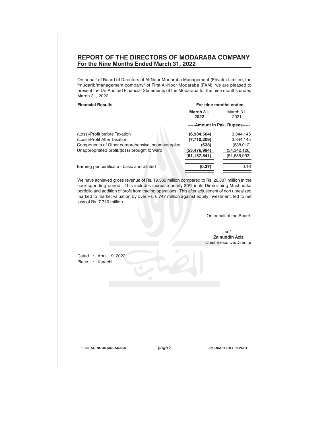# **REPORT OF THE DIRECTORS OF MODARABA COMPANY For the Nine Months Ended March 31, 2022**

On behalf of Board of Directors of Al-Noor Modaraba Management (Private) Limited, the "mudarib/management company" of First Al-Noor Modaraba (FAM), we are pleased to present the Un-Audited Financial Statements of the Modaraba for the nine months ended March 31, 2022:

| <b>Financial Results</b>                         | For nine months ended           |                   |  |  |
|--------------------------------------------------|---------------------------------|-------------------|--|--|
|                                                  | March 31,<br>2022               | March 31.<br>2021 |  |  |
|                                                  | -----Amount in Pak. Rupees----- |                   |  |  |
| (Loss)/Profit before Taxation                    | (6,984,564)                     | 3,344,145         |  |  |
| (Loss)/Profit After Taxation                     | (7,710,209)                     | 3,344,145         |  |  |
| Components of Other comprehensive income/surplus | (638)                           | (638, 012)        |  |  |
| Unappropriated profit/(loss) brought forward     | (53, 476, 994)                  | (54,342,126)      |  |  |
|                                                  | (61, 187, 841)                  | (51,635,993)      |  |  |
| Earning per certificate - basic and diluted      | (0.37)                          | 0.16              |  |  |

We have achieved gross revenue of Rs. 19.360 million compared to Rs. 26.807 million in the corresponding period. This includes increase nearly 30% in its Diminishing Musharaka portfolio and addition of profit from trading operations. This after adjustment of non unrealized marked to market valuation by over Rs. 6.747 million against equity investment, led to net loss of Rs. 7.710 million.

**FIRST AL-NOOR MODARABA 3rd QUARTERLY REPORT** page 3 On behalf of the Board sd/- **Zainuddin Aziz** Chief Executive/Director Dated : April 19, 2022 Place : Karachi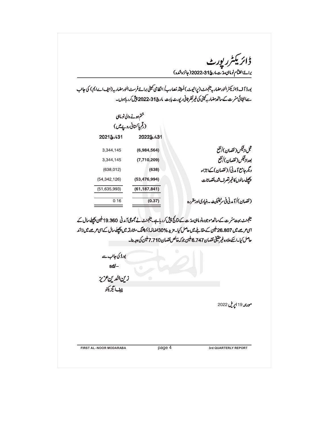ڈائریکٹرر پورٹ<br>مقام برائےاختتام نوماہی مدینہ ہے۔<br>برائےاختتام نوماہی مدینہ نے مارچ31،2022(جائزہ شدہ) بورڈ آ ف ڈائریکٹرالنورمضار بہ مینجمنٹ (پرائیوٹ)لمیٹڈ مُصارب/انظامی کمیٹی برائےفرسٹ النورمضار بہ (ایف اےایم) کی جانب سےانتہائی مترت کے ساتھ مضار بہ کپنی کی غیرنظر ثانی ریورٹ بابت مارچ313،2022 پیش کرر ہاہوں۔ ختم ہونے والی نوماہی (رقم یا کستانی رویے میں) 2022&/31 2021&131 قبل ازڤيكس ( نقصان )/نفع 3,344,145  $(6,984,564)$ بعدازئيكس(نقصان)/نفع 3,344,145  $(7,710,209)$ دیگر حامع آیدنی/(نقصان) کےاجزاء  $(638, 012)$  $(638)$ پچھلےسالوں کاغیرتصرف شدہ نقصانات  $(54, 342, 126)$  $(53, 476, 994)$  $(51, 635, 993)$  $(61, 187, 841)$ (نقصان)/آمدنی فی سرمیفیکیٹ - بنیادیاور مقررہ  $0.16$  $(0.37)$ مینجنٹ بہت مترت کے ساتھ موجودہ نو ماہی مدّت کے نتائج پیش کرر ہاہے۔مینجنٹ نے مجموعی آمدنی 19.360 ملین پچھلےسال کے اسی عرصے میں 26.807 ملین کے مقابلے میں حاصل کیا۔مزید 30%اضافہ ڈیمیشنگ مشارقہ میں پچھلے سال کے اسی عرصے میں زائد حاصل كيا \_اسكےعلاوہ غير حقيقى نقصان 6.747 ملين جو كہ خالص نقصان 7.710 ملين كى وجہ بنا۔ بورڈ کی جانب سے  $sd/-$ زين الدين عزيز چيف ايگزيکڻو مورنته 19 اپریل 2022 **FIRST AL-NOOR MODARABA** page 4 **3rd QUARTERLY REPORT**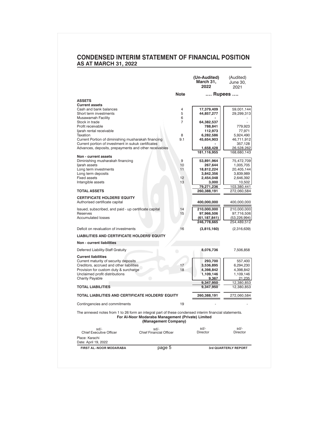|                                                                                                                                                                                    |             | (Un-Audited)<br>March 31,<br>2022 | (Audited)<br>June 30,<br>2021 |
|------------------------------------------------------------------------------------------------------------------------------------------------------------------------------------|-------------|-----------------------------------|-------------------------------|
|                                                                                                                                                                                    | <b>Note</b> | …. Rupees ….                      |                               |
| <b>ASSETS</b>                                                                                                                                                                      |             |                                   |                               |
| <b>Current assets</b>                                                                                                                                                              |             |                                   |                               |
| Cash and bank balances                                                                                                                                                             | 4           | 17,379,409                        | 59,001,144                    |
| Short term investments                                                                                                                                                             | 5<br>6      | 44,857,277                        | 29,299,313                    |
| Musawamah Facility<br>Stock in trade                                                                                                                                               | 7           | 64,382,537                        |                               |
| Profit receivable                                                                                                                                                                  |             | 788,841                           | 779,923                       |
| ljarah rental receivable                                                                                                                                                           |             | 112,973                           | 77,971                        |
| Taxation                                                                                                                                                                           | 8           | 6.282.586                         | 5,924,490                     |
| Current Portion of diminishing musharakah financing                                                                                                                                | 9.1         | 45,654,903                        | 46,711,912                    |
| Current portion of investment in sukuk certificates                                                                                                                                |             |                                   | 357,128                       |
| Advances, deposits, prepayments and other receivables                                                                                                                              |             | 1,658,428                         | 26,528,262                    |
| Non - current assets                                                                                                                                                               |             | 181,116,955                       | 168,680,143                   |
| Diminishing musharakah financing                                                                                                                                                   | 9           | 53,891,964                        | 75,472,709                    |
| ljarah assets                                                                                                                                                                      | 10          | 267,644                           | 1,005,705                     |
| Long term investments                                                                                                                                                              | 11          | 18,812,224                        | 20,405,144                    |
| Long term deposits                                                                                                                                                                 |             | 3,842,356                         | 3,839,989                     |
| <b>Fixed assets</b>                                                                                                                                                                | 12          | 2,454,048                         | 2,646,392                     |
| Intangible assets                                                                                                                                                                  | 13          | 3,000<br>79,271,236               | 10,502<br>103,380,441         |
| <b>TOTAL ASSETS</b>                                                                                                                                                                |             | 260,388,191                       | 272,060,584                   |
|                                                                                                                                                                                    |             |                                   |                               |
| <b>CERTIFICATE HOLDERS' EQUITY</b><br>Authorised certificate capital                                                                                                               |             | 400,000,000                       | 400,000,000                   |
| Issued, subscribed, and paid - up certificate capital                                                                                                                              | 14          | 210,000,000                       | 210,000,000                   |
| Reserves                                                                                                                                                                           | 15          | 97,966,506                        | 97.716.506                    |
| <b>Accumulated losses</b>                                                                                                                                                          |             | (61,187,841)                      | (53, 226, 994)                |
|                                                                                                                                                                                    |             | 246,778,665                       | 254,489,512                   |
| Deficit on revaluation of investments                                                                                                                                              | 16          | (3,815,160)                       | (2,316,639)                   |
| <b>LIABILITIES AND CERTIFICATE HOLDERS' EQUITY</b>                                                                                                                                 |             |                                   |                               |
| Non - current liabilities                                                                                                                                                          |             |                                   |                               |
| Deferred Liability-Staff Gratuity                                                                                                                                                  | $\bigcirc$  | 8,076,736                         | 7,506,858                     |
| <b>Current liabilities</b>                                                                                                                                                         |             |                                   |                               |
| Current maturity of security deposits                                                                                                                                              |             | 293,700                           | 557,400                       |
| Creditors, accrued and other liabilities<br>Provision for custom duty & surcharge                                                                                                  | 17<br>18    | 3,536,895                         | 6,294,230                     |
| Unclaimed profit distributions                                                                                                                                                     |             | 4,398,842<br>1,109,146            | 4,398,842<br>1,109,146        |
| Charity Payable                                                                                                                                                                    |             | 9,367                             | 21,235                        |
|                                                                                                                                                                                    |             | 9,347,950                         | 12,380,853                    |
| <b>TOTAL LIABILITIES</b>                                                                                                                                                           |             | 9,347,950                         | 12,380,853                    |
| <b>TOTAL LIABILITIES AND CERTIFICATE HOLDERS' EQUITY</b>                                                                                                                           |             | 260,388,191                       | 272,060,584                   |
| Contingencies and commitments                                                                                                                                                      | 19          |                                   |                               |
| The annexed notes from 1 to 26 form an integral part of these condensed interim financial statements.<br>For Al-Noor Modaraba Management (Private) Limited<br>(Management Company) |             |                                   |                               |
| sd/-<br>sd/-<br><b>Chief Executive Officer</b><br><b>Chief Financial Officer</b>                                                                                                   |             | sd/-<br>Director                  | sd/-<br><b>Director</b>       |
| Place: Karachi<br>Date: April 19, 2022                                                                                                                                             |             |                                   |                               |
| page 5                                                                                                                                                                             |             |                                   |                               |

# **CONDENSED INTERIM STATEMENT OF FINANCIAL POSITION AS AT MARCH 31, 2022**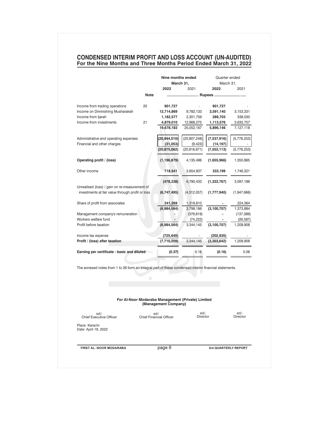### **CONDENSED INTERIM PROFIT AND LOSS ACCOUNT (UN-AUDITED) For the Nine Months and Three Months Period Ended March 31, 2022**

|                                                                                                       |             | Nine months ended<br>March 31,                                            |                  | Quarter ended<br>March 31, |                  |
|-------------------------------------------------------------------------------------------------------|-------------|---------------------------------------------------------------------------|------------------|----------------------------|------------------|
|                                                                                                       |             | 2022                                                                      | 2021             | 2022                       | 2021             |
|                                                                                                       | <b>Note</b> |                                                                           | Rupees           |                            |                  |
|                                                                                                       |             |                                                                           |                  |                            |                  |
| Income from trading operations                                                                        | 20          | 901,727                                                                   |                  | 901,727                    |                  |
| Income on Diminishing Musharakah                                                                      |             | 12,714,869                                                                | 9,782,133        | 3,591,140                  | 3,153,331        |
| Income from Ijarah                                                                                    |             | 1,182,577                                                                 | 2,301,759        | 289,703                    | 338,030          |
| Income from investments                                                                               | 21          | 4,879,010                                                                 | 12,968,275       | 1,113,576                  | 3,635,757        |
|                                                                                                       |             | 19,678,183                                                                | 25,052,167       | 5,896,146                  | 7,127,118        |
| Administrative and operating expenses                                                                 |             | (20, 844, 010)                                                            | (20, 907, 248)   | (7,537,916)                | (5,776,253)      |
| Financial and other charges                                                                           |             | (31,053)                                                                  | (9, 423)         | (14, 197)                  |                  |
|                                                                                                       |             | (20, 875, 062)                                                            | (20, 916, 671)   | (7, 552, 113)              | (5,776,253)      |
| Operating profit / (loss)                                                                             |             | (1, 196, 879)                                                             | 4,135,496        | (1,655,966)                | 1,350,865        |
| Other income                                                                                          |             | 718,541                                                                   | 2,654,937        | 333,199                    | 1,746,321        |
|                                                                                                       |             | (478,338)                                                                 | 6,790,433        | (1,322,767)                | 3,097,186        |
| Unrealised (loss) / gain on re-measurement of                                                         |             |                                                                           |                  |                            |                  |
| investments at fair value through profit or loss                                                      |             | (6,747,495)                                                               | (4,312,057)      | (1,777,940)                | (1,947,666)      |
| Share of profit from associates                                                                       |             | 241,269                                                                   | 1,319,810        |                            | 224,364          |
|                                                                                                       |             | (6,984,564)                                                               | 3,798,186        | (3,100,707)                | 1,373,884        |
| Management company's remuneration                                                                     |             |                                                                           | (379, 819)       |                            | (137, 389)       |
| Workers welfare fund                                                                                  |             |                                                                           | (74, 222)        |                            | (26, 587)        |
| Profit before taxation                                                                                |             | (6,984,564)                                                               | 3,344,145        | (3, 100, 707)              | 1,209,908        |
| Income tax expense                                                                                    |             | (725, 645)                                                                |                  | (202, 935)                 |                  |
| Profit / (loss) after taxation                                                                        |             | (7,710,209)                                                               | 3,344,145        | (3,303,642)                | 1,209,908        |
| Earning per certificate - basic and diluted                                                           |             | (0.37)                                                                    | 0.16             | (0.16)                     | 0.06             |
| The annexed notes from 1 to 26 form an integral part of these condensed interim financial statements. |             |                                                                           |                  |                            |                  |
|                                                                                                       | ۰           |                                                                           |                  |                            |                  |
|                                                                                                       |             |                                                                           |                  |                            |                  |
|                                                                                                       |             | For Al-Noor Modaraba Management (Private) Limited<br>(Management Company) |                  |                            |                  |
|                                                                                                       |             |                                                                           |                  |                            |                  |
| $sd/$ -<br><b>Chief Executive Officer</b>                                                             |             | sd/-<br><b>Chief Financial Officer</b>                                    | sd/-<br>Director |                            | sd/-<br>Director |
| Place: Karachi<br>Date: April 19, 2022                                                                |             |                                                                           |                  |                            |                  |
| FIRST AL-NOOR MODARABA                                                                                |             | page 6                                                                    |                  | 3rd QUARTERLY REPORT       |                  |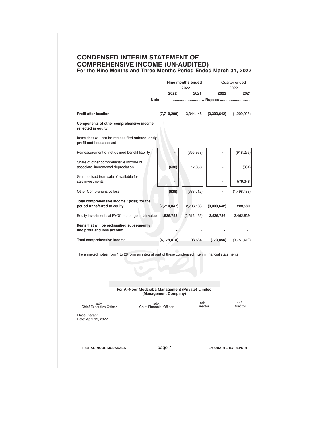### **CONDENSED INTERIM STATEMENT OF COMPREHENSIVE INCOME (UN-AUDITED) For the Nine Months and Three Months Period Ended March 31, 2022**

|                                                                                                       | Nine months ended                                                         | 2022             |                      | Quarter ended<br>2022 |
|-------------------------------------------------------------------------------------------------------|---------------------------------------------------------------------------|------------------|----------------------|-----------------------|
|                                                                                                       | 2022                                                                      | 2021             | 2022                 | 2021                  |
|                                                                                                       | <b>Note</b>                                                               |                  | Rupees               |                       |
| <b>Profit after taxation</b>                                                                          | (7,710,209)                                                               | 3,344,145        | (3,303,642)          | (1,209,908)           |
| Components of other comprehensive income<br>reflected in equity                                       |                                                                           |                  |                      |                       |
| Items that will not be reclassified subsequently<br>profit and loss account                           |                                                                           |                  |                      |                       |
| Remeasurement of net defined benefit liability                                                        |                                                                           | (655, 368)       |                      | (918, 296)            |
| Share of other comprehensive income of<br>associate -incremental depreciation                         | (638)                                                                     | 17,356           |                      | (894)                 |
| Gain realised from sale of available for<br>sale investments                                          |                                                                           |                  |                      | 579,348               |
| Other Comprehensive loss                                                                              | (638)                                                                     | (638, 012)       |                      | (1,498,488)           |
| Total comprehensive income / (loss) for the<br>period transferred to equity                           | (7,710,847)                                                               | 2,706,133        | (3,303,642)          | 288,580               |
| Equity investments at FVOCI - change in fair value                                                    | 1,529,753                                                                 | (2,612,499)      | 2,529,786            | 3,462,839             |
| Items that will be reclassified subsequently<br>into profit and loss account                          |                                                                           |                  |                      |                       |
| Total comprehensive income                                                                            | (6, 179, 818)                                                             | 93,634           | (773,856)            | (3,751,419)           |
| The annexed notes from 1 to 26 form an integral part of these condensed interim financial statements. |                                                                           |                  |                      |                       |
|                                                                                                       | For Al-Noor Modaraba Management (Private) Limited<br>(Management Company) |                  |                      |                       |
| sd/-<br><b>Chief Executive Officer</b>                                                                | sd/-<br><b>Chief Financial Officer</b>                                    | sd/-<br>Director |                      | sd/-<br>Director      |
| Place: Karachi<br>Date: April 19, 2022                                                                |                                                                           |                  |                      |                       |
|                                                                                                       |                                                                           |                  |                      |                       |
| <b>FIRST AL-NOOR MODARABA</b>                                                                         | page 7                                                                    |                  | 3rd QUARTERLY REPORT |                       |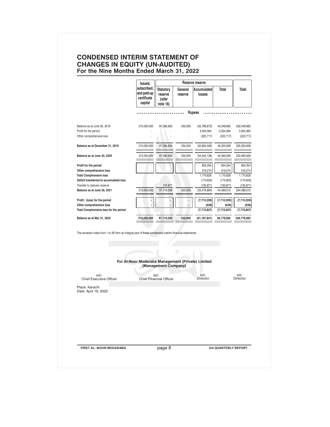# **CONDENSED INTERIM STATEMENT OF CHANGES IN EQUITY (UN-AUDITED) For the Nine Months Ended March 31, 2022**

|                                                                    | Issued,                                              |                                                   |                    | Reserve reserve              |                          |                           |  |
|--------------------------------------------------------------------|------------------------------------------------------|---------------------------------------------------|--------------------|------------------------------|--------------------------|---------------------------|--|
|                                                                    | subscribed.<br>and paid-up<br>certificate<br>capital | <b>Statutory</b><br>reserve<br>(refer<br>note 16) | General<br>reserve | Accumulated<br>losses        | Total                    | Total                     |  |
|                                                                    |                                                      |                                                   |                    | <b>Rupees</b>                |                          |                           |  |
| Balance as at June 30, 2019                                        | 210,000,000                                          | 97,585,635                                        | 250,000            | (55, 786, 673)               | 42,048,962               | 252,048,962               |  |
| Profit for the period                                              |                                                      |                                                   | ÷,                 | 3,304,364                    | 3,304,364                | 3,304,364                 |  |
| Other comprehensive loss                                           |                                                      |                                                   |                    | (322, 717)                   | (322, 717)               | (322, 717)                |  |
| Balance as at December 31, 2019                                    | 210,000,000                                          | 97,585,635                                        | 250,000            | (52,805,026)                 | 45,030,609               | 255,030,609               |  |
| Balance as at June 30, 2020                                        | 210,000,000                                          | 97,585,635                                        | 250,000            | (54, 342, 126)               | 43,493,509               | 253,493,509               |  |
| Profit for the period                                              |                                                      |                                                   |                    | 654,354                      | 654,354                  | 654,354                   |  |
| Other comprehensive loss                                           |                                                      |                                                   |                    | 516,274                      | 516,274                  | 516,274                   |  |
| <b>Total Comphrensive loss</b>                                     |                                                      |                                                   |                    | 1,170,628                    | 1,170,628                | 1,170,628                 |  |
| Deficit transferred to accumulated loss                            |                                                      |                                                   |                    | (174, 625)                   | (174, 625)               | (174, 625)                |  |
| Transfer to statuary reserve<br>Balance as at June 30, 2021        | 210,000,000                                          | 130,871<br>97,716,506                             | 250,000            | (130, 871)<br>(53, 476, 994) | (130, 871)<br>44,489,512 | (130, 871)<br>254,489,512 |  |
|                                                                    |                                                      |                                                   |                    |                              |                          |                           |  |
| Profit / (loss) for the period                                     |                                                      |                                                   |                    | (7,710,209)                  | (7,710,209)              | (7,710,209)               |  |
| Other comprehensive loss<br>Total Comphrensive loss for the period |                                                      |                                                   |                    | (638)<br>(7,710,847)         | (638)<br>(7,710,847)     | (638)<br>(7,710,847)      |  |
| Balance as at Mar 31, 2022                                         | 210,000,000                                          | 97,716,506                                        | 250,000            | (61,187,841)                 | 36,778,665               | 246,778,665               |  |
|                                                                    | For Al-Noor Modaraba Management (Private) Limited    | (Management Company)                              | $\bigcirc$         |                              |                          |                           |  |
| sd/-<br><b>Chief Executive Officer</b>                             |                                                      | sd/-<br><b>Chief Financial Officer</b>            |                    | sd/-<br>Director             |                          | sd/-<br>Director          |  |
| Place: Karachi<br>Date: April 19, 2022                             |                                                      |                                                   |                    |                              |                          |                           |  |
| FIRST AL-NOOR MODARABA                                             |                                                      | page 8                                            |                    |                              | 3rd QUARTERLY REPORT     |                           |  |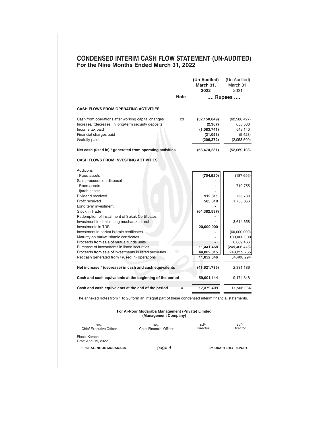# **CONDENSED INTERIM CASH FLOW STATEMENT (UN-AUDITED) For the Nine Months Ended March 31, 2022**

|                                                                                                       |                | (Un-Audited)<br>March 31,<br>2022 | (Un-Audited)<br>March 31,<br>2021 |
|-------------------------------------------------------------------------------------------------------|----------------|-----------------------------------|-----------------------------------|
|                                                                                                       | <b>Note</b>    |                                   | Rupees                            |
| <b>CASH FLOWS FROM OPERATING ACTIVITIES</b>                                                           |                |                                   |                                   |
| Cash from operations after working capital changes                                                    | 23             | (52,150,849)                      | (62, 588, 427)                    |
| Increase/ (decrease) in long-term security deposits                                                   |                | (2, 367)                          | 653,536                           |
| Income tax paid                                                                                       |                | (1,083,741)                       | 548,140                           |
| Financial charges paid<br>Gratuity paid                                                               |                | (31, 053)<br>(206, 272)           | (9, 423)<br>(2,053,509)           |
| Net cash (used in) / generated from operating activities                                              |                | (53,474,281)                      | (52,069,108)                      |
| <b>CASH FLOWS FROM INVESTING ACTIVITIES</b>                                                           |                |                                   |                                   |
| Additions                                                                                             |                |                                   |                                   |
| - Fixed assets                                                                                        |                | (704, 520)                        | (187, 656)                        |
| Sale proceeds on disposal                                                                             |                |                                   |                                   |
| - Fixed assets                                                                                        |                |                                   | 719,755                           |
| - Ijarah assets<br>Dividend received                                                                  |                |                                   |                                   |
| Profit received                                                                                       |                | 912,811<br>583,310                | 755,738<br>1,755,056              |
| Long term investment                                                                                  |                |                                   |                                   |
| Stock in Trade                                                                                        |                | (64, 382, 537)                    |                                   |
| Redemption of installment of Sukuk Certificates                                                       |                |                                   |                                   |
| Investment in diminishing musharakah- net                                                             |                |                                   | 3,614,658                         |
| <b>Investments in TDR</b>                                                                             |                | 20,000,000                        |                                   |
| Investment in barkat islamic certificates                                                             |                |                                   | (60,000,000)                      |
| Maturity on barkat islamic certificates                                                               |                |                                   | 100,000,000                       |
| Proceeds from sale of mutual funds units                                                              |                |                                   | 8,889,466                         |
| Purchase of investments in listed securities                                                          |                | 11,441,468                        | (249, 406, 478)                   |
| Proceeds from sale of investments in listed securities                                                | o              | 44,002,015                        | 248,259,755                       |
| Net cash generated from / (used in) operations                                                        |                | 11,852,546                        | 54,400,294                        |
| Net increase / (decrease) in cash and cash equivalents                                                |                | (41,621,735)                      | 2,331,186                         |
| Cash and cash equivalents at the beginning of the period                                              |                | 59,001,144                        | 9,174,848                         |
| Cash and cash equivalents at the end of the period                                                    | $\overline{4}$ | 17,379,409                        | 11,506,034                        |
| The annexed notes from 1 to 26 form an integral part of these condensed interim financial statements. |                |                                   |                                   |
| For Al-Noor Modaraba Management (Private) Limited<br>(Management Company)                             |                |                                   |                                   |
| $sd/$ -<br>sd/-                                                                                       |                | sd/-                              | sd/-                              |
| <b>Chief Executive Officer</b><br><b>Chief Financial Officer</b>                                      |                | <b>Director</b>                   | <b>Director</b>                   |
| Place: Karachi<br>Date: April 19, 2022                                                                |                |                                   |                                   |
|                                                                                                       | page 9         |                                   | 3rd QUARTERLY REPORT              |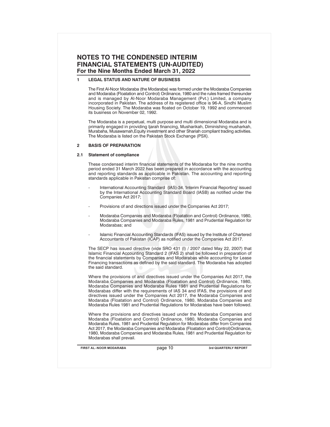### **1 LEGAL STATUS AND NATURE OF BUSINESS**

The First Al-Noor Modaraba (the Modaraba) was formed under the Modaraba Companies and Modaraba (Floatation and Control) Ordinance, 1980 and the rules framed thereunder and is managed by Al-Noor Modaraba Management (Pvt.) Limited, a company incorporated in Pakistan. The address of its registered office is 96-A, Sindhi Muslim Housing Society. The Modaraba was floated on October 19, 1992 and commenced its business on November 02, 1992.

The Modaraba is a perpetual, multi purpose and multi dimensional Modaraba and is primarily engaged in providing Ijarah financing, Musharikah, Diminishing musharkah, Murabaha, Musawamah,Equity investment and other Shariah compliant trading activities. The Modaraba is listed on the Pakistan Stock Exchange (PSX).

### **2 BASIS OF PREPARATION**

#### **2.1 Statement of compliance**

These condensed interim financial statements of the Modaraba for the nine months period ended 31 March 2022 has been prepared in accordance with the accounting and reporting standards as applicable in Pakistan. The accounting and reporting standards applicable in Pakistan comprise of:

- International Accounting Standard (IAS)-34, 'Interim Financial Reporting' issued by the International Accounting Standard Board (IASB) as notified under the Companies Act 2017;
- Provisions of and directions issued under the Companies Act 2017;
- Modaraba Companies and Modaraba (Floatation and Control) Ordinance, 1980, Modaraba Companies and Modaraba Rules, 1981 and Prudential Regulation for Modarabas; and
- Islamic Financial Accounting Standards (IFAS) issued by the Institute of Chartered Accountants of Pakistan (ICAP) as notified under the Companies Act 2017.

The SECP has issued directive (vide SRO 431 (I) / 2007 dated May 22, 2007) that Islamic Financial Accounting Standard 2 (IFAS 2) shall be followed in preparation of the financial statements by Companies and Modarabas while accounting for Lease Financing transactions as defined by the said standard. The Modaraba has adopted the said standard.

Where the provisions of and directives issued under the Companies Act 2017, the Modaraba Companies and Modaraba (Floatation and Control) Ordinance, 1980, Modaraba Companies and Modaraba Rules 1981 and Prudential Regulations for Modarabas differ with the requirements of IAS 34 and IFAS, the provisions of and directives issued under the Companies Act 2017, the Modaraba Companies and Modaraba (Floatation and Control) Ordinance, 1980, Modaraba Companies and Modaraba Rules 1981 and Prudential Regulations for Modarabas have been followed.

Where the provisions and directives issued under the Modaraba Companies and Modaraba (Floatation and Control) Ordinance, 1980, Modaraba Companies and Modaraba Rules, 1981 and Prudential Regulation for Modarabas differ from Companies Act 2017, the Modaraba Companies and Modaraba (Floatation and Control)Ordinance, 1980, Modaraba Companies and Modaraba Rules, 1981 and Prudential Regulation for Modarabas shall prevail.

**FIRST AL-NOOR MODARABA 3rd QUARTERLY REPORT**

page 10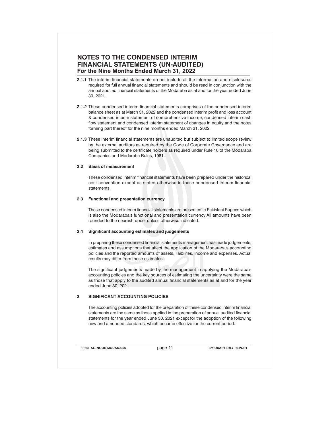- **2.1.1** The interim financial statements do not include all the information and disclosures required for full annual financial statements and should be read in conjunction with the annual audited financial statements of the Modaraba as at and for the year ended June 30, 2021.
- **2.1.2** These condensed interim financial statements comprises of the condensed interim balance sheet as at March 31, 2022 and the condensed interim profit and loss account & condensed interim statement of comprehensive income, condensed interim cash flow statement and condensed interim statement of changes in equity and the notes forming part thereof for the nine months ended March 31, 2022.
- **2.1.3** These interim financial statements are unaudited but subject to limited scope review by the external auditors as required by the Code of Corporate Governance and are being submitted to the certificate holders as required under Rule 10 of the Modaraba Companies and Modaraba Rules, 1981.

### **2.2 Basis of measurement**

These condensed interim financial statements have been prepared under the historical cost convention except as stated otherwise in these condensed interim financial statements.

#### **2.3 Functional and presentation currency**

These condensed interim financial statements are presented in Pakistani Rupees which is also the Modaraba's functional and presentation currency.All amounts have been rounded to the nearest rupee, unless otherwise indicated.

### **2.4 Significant accounting estimates and judgements**

In preparing these condensed financial statements management has made judgements, estimates and assumptions that affect the application of the Modaraba's accounting policies and the reported amounts of assets, liaibilites, income and expenses. Actual results may differ from these estimates.

The significant judgements made by the management in applying the Modaraba's accounting policies and the key sources of estimating the uncertainty were the same as those that apply to the audited annual financial statements as at and for the year ended June 30, 2021.

## **3 SIGNIFICANT ACCOUNTING POLICIES**

The accounting policies adopted for the preparation of these condensed interim financial statements are the same as those applied in the preparation of annual audited financial statements for the year ended June 30, 2021 except for the adoption of the following new and amended standards, which became effective for the current period:

**FIRST AL-NOOR MODARABA 3rd QUARTERLY REPORT**

page 11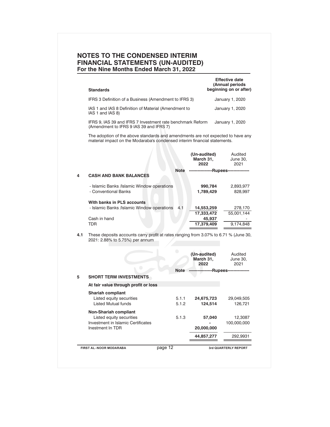| <b>Standards</b>                                                         | <b>Effective date</b><br>(Annual periods<br>beginning on or after) |
|--------------------------------------------------------------------------|--------------------------------------------------------------------|
| IFRS 3 Definition of a Business (Amendment to IFRS 3)                    | January 1, 2020                                                    |
| IAS 1 and IAS 8 Definition of Material (Amendment to<br>IAS 1 and IAS 8) | January 1, 2020                                                    |
| IFRS 9, IAS 39 and IFRS 7 Investment rate benchmark Reform               | January 1, 2020                                                    |

(Amendment to IFRS 9 IAS 39 and IFRS 7)

The adoption of the above standards and amendments are not expected to have any material impact on the Modaraba's condensed interim financial statements.

|     |                                                                                                                         | (Un-audited)<br>March 31,<br>2022   | Audited<br>June 30,<br>2021 |
|-----|-------------------------------------------------------------------------------------------------------------------------|-------------------------------------|-----------------------------|
|     | <b>Note</b>                                                                                                             | --------------                      | -Rupees----------------     |
| 4   | <b>CASH AND BANK BALANCES</b>                                                                                           |                                     |                             |
|     | - Islamic Banks / Islamic Window operations                                                                             | 990,784                             | 2,893,977                   |
|     | - Conventional Banks                                                                                                    | 1,789,429                           | 828,997                     |
|     | With banks in PLS accounts                                                                                              |                                     |                             |
|     | - Islamic Banks / Islamic Window operations<br>4.1                                                                      | 14,553,259                          | 278,170                     |
|     |                                                                                                                         | 17,333,472                          | 55,001,144                  |
|     | Cash in hand                                                                                                            | 45,937                              |                             |
|     | TDR                                                                                                                     | 17,379,409                          | 9,174,848                   |
|     |                                                                                                                         |                                     |                             |
| 4.1 | These deposits accounts carry profit at rates ranging from 3.07% to 6.71 % (June 30,<br>2021: 2.88% to 5.75%) per annum |                                     |                             |
|     |                                                                                                                         | المستحدث والمتنا والمتلاط والمتناقص |                             |

|   |                                                                                                                    |                | (Un-audited)<br>March 31,<br>2022 | Audited<br>June 30,<br>2021 |
|---|--------------------------------------------------------------------------------------------------------------------|----------------|-----------------------------------|-----------------------------|
|   |                                                                                                                    | <b>Note</b>    |                                   | -Rupees---------------      |
| 5 | <b>SHORT TERM INVESTMENTS</b>                                                                                      |                |                                   |                             |
|   | At fair value through profit or loss                                                                               |                |                                   |                             |
|   | <b>Shariah compliant</b><br>Listed equity securities<br><b>Listed Mutual funds</b>                                 | 5.1.1<br>5.1.2 | 24,675,723<br>124,514             | 29,049,505<br>126,721       |
|   | <b>Non-Shariah compliant</b><br>Listed equity securities<br>Investment in Islamic Certificates<br>Inestment In TDR | 5.1.3          | 57,040<br>20,000,000              | 12,3087<br>100,000,000      |
|   |                                                                                                                    |                | 44,857,277                        | 292,9931                    |
|   | <b>FIRST AL-NOOR MODARABA</b>                                                                                      | page 12        |                                   | 3rd QUARTERLY REPORT        |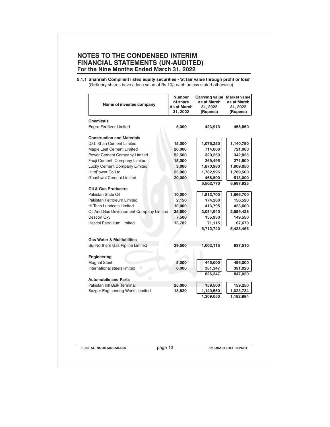**5.1.1 Shahriah Compliant listed equity securities - 'at fair value through profit or loss'** (Ordinary shares have a face value of Rs.10/- each unless stated otherwise).

| 423,913<br>458,850<br>1,076,250<br>1,140,750<br>714,000<br>721,000<br>320,250<br>342,825<br>269,495<br>271,800<br>1,870,980<br>1,909,050<br>1,782,995<br>1,789,500<br>468,800<br>513,000<br>6,502,770<br>6,687,925<br>1,812,700<br>1,666,700<br>174,260<br>156,520<br>413,795<br>423,600<br>3,084,940<br>2,959,428<br>155,930<br>149,550<br>71,115<br>67,670 | 5,000<br>15,000<br>20,000<br>52,500<br>15,000<br>3,000<br>25,000<br>20,000 | <b>Chemicals</b><br><b>Engro Fertilizer Limited</b><br><b>Construction and Materials</b><br>D.G. Khan Cement Limited<br>Maple Leaf Cement Limited<br>Power Cement Company Limited |
|--------------------------------------------------------------------------------------------------------------------------------------------------------------------------------------------------------------------------------------------------------------------------------------------------------------------------------------------------------------|----------------------------------------------------------------------------|-----------------------------------------------------------------------------------------------------------------------------------------------------------------------------------|
|                                                                                                                                                                                                                                                                                                                                                              |                                                                            |                                                                                                                                                                                   |
|                                                                                                                                                                                                                                                                                                                                                              |                                                                            |                                                                                                                                                                                   |
|                                                                                                                                                                                                                                                                                                                                                              |                                                                            |                                                                                                                                                                                   |
|                                                                                                                                                                                                                                                                                                                                                              |                                                                            |                                                                                                                                                                                   |
|                                                                                                                                                                                                                                                                                                                                                              |                                                                            |                                                                                                                                                                                   |
|                                                                                                                                                                                                                                                                                                                                                              |                                                                            |                                                                                                                                                                                   |
|                                                                                                                                                                                                                                                                                                                                                              |                                                                            | Fauji Cement Company Limited                                                                                                                                                      |
|                                                                                                                                                                                                                                                                                                                                                              |                                                                            | Lucky Cement Company Limited                                                                                                                                                      |
|                                                                                                                                                                                                                                                                                                                                                              |                                                                            | HubPower Co Ltd                                                                                                                                                                   |
|                                                                                                                                                                                                                                                                                                                                                              |                                                                            | <b>Gharibwal Cement Limited</b>                                                                                                                                                   |
|                                                                                                                                                                                                                                                                                                                                                              |                                                                            |                                                                                                                                                                                   |
|                                                                                                                                                                                                                                                                                                                                                              |                                                                            | Oil & Gas Producers                                                                                                                                                               |
|                                                                                                                                                                                                                                                                                                                                                              | 10,000                                                                     | Pakistan State Oil                                                                                                                                                                |
|                                                                                                                                                                                                                                                                                                                                                              | 2,150                                                                      | Pakistan Petroleum Limited                                                                                                                                                        |
|                                                                                                                                                                                                                                                                                                                                                              | 10,000                                                                     | <b>Hi-Tech Lubricats Limited</b>                                                                                                                                                  |
|                                                                                                                                                                                                                                                                                                                                                              | 35,600                                                                     | Oil And Gas Development Company Limited                                                                                                                                           |
|                                                                                                                                                                                                                                                                                                                                                              |                                                                            |                                                                                                                                                                                   |
|                                                                                                                                                                                                                                                                                                                                                              | 7,500                                                                      | Descon Oxy<br><b>Hascol Petroleum Limited</b>                                                                                                                                     |
| 5,712,740<br>5,423,468                                                                                                                                                                                                                                                                                                                                       | 13,782                                                                     |                                                                                                                                                                                   |
|                                                                                                                                                                                                                                                                                                                                                              |                                                                            |                                                                                                                                                                                   |
|                                                                                                                                                                                                                                                                                                                                                              |                                                                            | <b>Gas Water &amp; Multiutilities</b>                                                                                                                                             |
| 1,002,115<br>937,510                                                                                                                                                                                                                                                                                                                                         | 29,500                                                                     | Sui Northern Gas Pipline Limited                                                                                                                                                  |
|                                                                                                                                                                                                                                                                                                                                                              |                                                                            | <b>Engineering</b>                                                                                                                                                                |
| 445,000<br>456,000                                                                                                                                                                                                                                                                                                                                           | 5,000                                                                      | <b>Mughal Steel</b>                                                                                                                                                               |
| 381,347<br>391,020                                                                                                                                                                                                                                                                                                                                           | 6,000                                                                      | $\bigcirc$<br>International steels limited                                                                                                                                        |
| 847,020<br>826,347                                                                                                                                                                                                                                                                                                                                           |                                                                            |                                                                                                                                                                                   |
|                                                                                                                                                                                                                                                                                                                                                              |                                                                            | $\bullet$                                                                                                                                                                         |
| 159,500<br>159,250                                                                                                                                                                                                                                                                                                                                           |                                                                            |                                                                                                                                                                                   |
| 1,149,550<br>1,023,734                                                                                                                                                                                                                                                                                                                                       |                                                                            |                                                                                                                                                                                   |
| 1,309,050<br>1,182,984                                                                                                                                                                                                                                                                                                                                       |                                                                            |                                                                                                                                                                                   |
|                                                                                                                                                                                                                                                                                                                                                              | 25,000<br>13,820                                                           | <b>Automobile and Parts</b><br>Pakistan Intl Bulk Terminal<br>Sazgar Engineering Works Limited                                                                                    |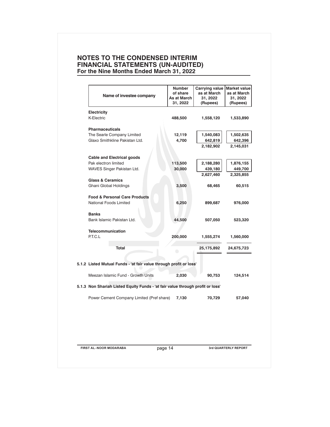| Name of investee company                                                       | <b>Number</b><br>of share<br>As at March<br>31, 2022 | Carrying value<br>as at March<br>31, 2022<br>(Rupees) | <b>Market value</b><br>as at March<br>31, 2022<br>(Rupees) |
|--------------------------------------------------------------------------------|------------------------------------------------------|-------------------------------------------------------|------------------------------------------------------------|
| Electricity                                                                    |                                                      |                                                       |                                                            |
| K-Electric                                                                     | 488,500                                              | 1,558,120                                             | 1,533,890                                                  |
| <b>Pharmaceuticals</b>                                                         |                                                      |                                                       |                                                            |
| The Searle Company Limited                                                     | 12,119                                               | 1,540,083                                             | 1,502,635                                                  |
| Glaxo Smithkline Pakistan Ltd.                                                 | 4,700                                                | 642,819                                               | 642,396                                                    |
|                                                                                |                                                      | 2,182,902                                             | 2,145,031                                                  |
| <b>Cable and Electrical goods</b>                                              |                                                      |                                                       |                                                            |
| Pak electron limited                                                           | 113,500                                              | 2,188,280                                             | 1,876,155                                                  |
| WAVES Singer Pakistan Ltd.                                                     | 30,000                                               | 439,180                                               | 449,700                                                    |
|                                                                                |                                                      | 2,627,460                                             | 2,325,855                                                  |
| <b>Glass &amp; Ceramics</b>                                                    |                                                      |                                                       |                                                            |
| Ghani Global Holdings                                                          | 3,500                                                | 68,465                                                | 60,515                                                     |
| <b>Food &amp; Personal Care Products</b>                                       |                                                      |                                                       |                                                            |
| National Foods Limited                                                         | 6,250                                                | 899,687                                               | 976,000                                                    |
| <b>Banks</b>                                                                   |                                                      |                                                       |                                                            |
| Bank Islamic Pakistan Ltd.                                                     | 44,500                                               | 507,050                                               | 523,320                                                    |
| Telecommunication                                                              |                                                      |                                                       |                                                            |
| P.T.C.L                                                                        | 200,000                                              | 1,555,274                                             | 1,560,000                                                  |
| Total                                                                          | $\bigcirc$                                           | 25,175,892                                            | 24,675,723                                                 |
| 5.1.2 Listed Mutual Funds - 'at fair value through profit or loss'             |                                                      |                                                       |                                                            |
|                                                                                |                                                      |                                                       |                                                            |
| Meezan Islamic Fund - Growth Units                                             | 2,030                                                | 90,753                                                | 124,514                                                    |
| 5.1.3 Non Shariah Listed Equity Funds - 'at fair value through profit or loss' |                                                      |                                                       |                                                            |
| Power Cement Company Limited (Pref share)                                      | 7,130                                                | 70,729                                                | 57,040                                                     |
|                                                                                |                                                      |                                                       |                                                            |
|                                                                                |                                                      |                                                       |                                                            |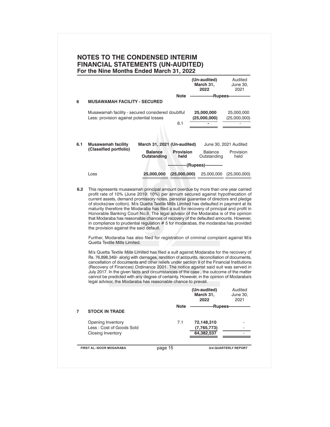| For the Nine Months Ended March 31, 2022 |                                                                                                                                                                                                                                                                                                                                                                                                                                                                                                                                                                                                                            |                               |                          | (Un-audited)<br>March 31,         | Audited<br>June 30,                           |
|------------------------------------------|----------------------------------------------------------------------------------------------------------------------------------------------------------------------------------------------------------------------------------------------------------------------------------------------------------------------------------------------------------------------------------------------------------------------------------------------------------------------------------------------------------------------------------------------------------------------------------------------------------------------------|-------------------------------|--------------------------|-----------------------------------|-----------------------------------------------|
|                                          |                                                                                                                                                                                                                                                                                                                                                                                                                                                                                                                                                                                                                            |                               | Note                     | 2022                              | 2021<br>----------------Rupees--------------- |
| 6                                        | <b>MUSAWAMAH FACILITY - SECURED</b>                                                                                                                                                                                                                                                                                                                                                                                                                                                                                                                                                                                        |                               |                          |                                   |                                               |
|                                          | Musawamah facility - secured considered doubtful<br>Less: provision against potential losses                                                                                                                                                                                                                                                                                                                                                                                                                                                                                                                               |                               | 6.1                      | 25,000,000<br>(25,000,000)        | 25,000,000<br>(25,000,000)                    |
|                                          |                                                                                                                                                                                                                                                                                                                                                                                                                                                                                                                                                                                                                            |                               |                          |                                   |                                               |
| 6.1                                      | <b>Musawamah facility</b>                                                                                                                                                                                                                                                                                                                                                                                                                                                                                                                                                                                                  | March 31, 2021 (Un-audited)   |                          |                                   | June 30, 2021 Audited                         |
|                                          | (Classified portfolio)                                                                                                                                                                                                                                                                                                                                                                                                                                                                                                                                                                                                     | <b>Balance</b><br>Outstanding | <b>Provision</b><br>held | <b>Balance</b><br>Outstanding     | Provision<br>held                             |
|                                          |                                                                                                                                                                                                                                                                                                                                                                                                                                                                                                                                                                                                                            |                               |                          | -------------(Rupees)------------ |                                               |
|                                          | Loss                                                                                                                                                                                                                                                                                                                                                                                                                                                                                                                                                                                                                       | 25,000,000 (25,000,000)       |                          |                                   | 25,000,000 (25,000,000)                       |
| 6.2                                      | This represents musawamah principal amount overdue by more than one year carried<br>profit rate of 10% (June 2019: 10%) per annum secured against hypothecation of<br>current assets, demand promissory notes, personal guarantee of directors and pledge<br>of stocks(raw cotton). M/s Quetta Textile Mills Limited has defaulted in payment at its<br>maturity therefore the Modaraba has filed a suit for recovery of principal and profit in<br>Honorable Banking Court No.II. The legal advisor of the Modaraba is of the opinion                                                                                     |                               |                          |                                   |                                               |
|                                          | that Modaraba has reasonable chances of recovery of the defaulted amounts. However,<br>in compliance to prudential regulation $# 5$ for modarabas, the modaraba has provided<br>the provision against the said default.                                                                                                                                                                                                                                                                                                                                                                                                    |                               |                          |                                   |                                               |
|                                          | Further, Modaraba has also filed for registration of criminal complaint against M/s<br>Quetta Textile Mills Limited.                                                                                                                                                                                                                                                                                                                                                                                                                                                                                                       |                               |                          |                                   |                                               |
|                                          | M/s Quetta Textile Mills Limited has filed a suit against Modaraba for the recovery of<br>Rs. 76,898,349/- along with damages, rendition of accounts, reconciliation of documents,<br>cancellation of documents and other reliefs under section 9 of the Financial Institutions<br>(Recovery of Finances) Ordinance 2001. The notice against said suit was served in<br>July 2017. In the given facts and circumstances of the case, the outcome of the matter<br>cannot be predicted with any degree of certainty. However, in the opinion of Modaraba's<br>legal advisor, the Modaraba has reasonable chance to prevail. |                               |                          |                                   |                                               |
|                                          |                                                                                                                                                                                                                                                                                                                                                                                                                                                                                                                                                                                                                            |                               |                          | (Un-audited)<br>March 31,<br>2022 | Audited<br>June 30,<br>2021                   |
| $\overline{7}$                           | <b>STOCK IN TRADE</b>                                                                                                                                                                                                                                                                                                                                                                                                                                                                                                                                                                                                      |                               | Note                     |                                   | ----------------Rupees---------------         |
|                                          | Opening Inventory<br>Less: Cost of Goods Sold                                                                                                                                                                                                                                                                                                                                                                                                                                                                                                                                                                              |                               | 7.1                      | 72,148,310<br>(7,765,773)         |                                               |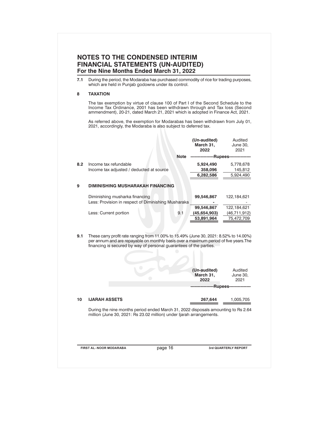| 7.1 | During the period, the Modaraba has purchased commodity of rice for trading purposes,<br>which are held in Punjab godowns under its control.                                                                                                          |                                                          |                              |  |  |
|-----|-------------------------------------------------------------------------------------------------------------------------------------------------------------------------------------------------------------------------------------------------------|----------------------------------------------------------|------------------------------|--|--|
| 8   | <b>TAXATION</b>                                                                                                                                                                                                                                       |                                                          |                              |  |  |
|     | The tax exemption by virtue of clause 100 of Part I of the Second Schedule to the<br>Income Tax Ordinance, 2001 has been withdrawn through and Tax loss (Second<br>ammendment), 20-21, dated March 21, 2021 which is adopted in Finance Act, 2021.    |                                                          |                              |  |  |
|     | As referred above, the exemption for Modarabas has been withdrawn from July 01,<br>2021, accordingly, the Modaraba is also subject to deferred tax.                                                                                                   |                                                          |                              |  |  |
|     |                                                                                                                                                                                                                                                       | (Un-audited)<br>March 31,<br>2022                        | Audited<br>June 30.<br>2021  |  |  |
|     |                                                                                                                                                                                                                                                       | Note ----------------Rupees---------------               |                              |  |  |
| 8.2 | Income tax refundable<br>Income tax adjusted / deducted at source                                                                                                                                                                                     | 5,924,490<br>358,096                                     | 5,778,678<br>145,812         |  |  |
|     |                                                                                                                                                                                                                                                       | 6,282,586                                                | 5,924,490                    |  |  |
| 9   | DIMINISHING MUSHARAKAH FINANCING                                                                                                                                                                                                                      |                                                          |                              |  |  |
|     | Diminishing musharka financing<br>Less: Provision in respect of Diminishing Musharaka                                                                                                                                                                 | 99,546,867                                               | 122,184,621                  |  |  |
|     |                                                                                                                                                                                                                                                       | 99,546,867                                               | 122,184,621                  |  |  |
|     | Less: Current portion<br>9.1                                                                                                                                                                                                                          | (45, 654, 903)<br>53,891,964                             | (46, 711, 912)<br>75,472,709 |  |  |
|     |                                                                                                                                                                                                                                                       |                                                          |                              |  |  |
| 9.1 | These carry profit rate ranging from 11.00% to 15.49% (June 30, 2021: 8.52% to 14.00%)<br>per annum and are repayable on monthly basis over a maximum period of five years. The<br>financing is secured by way of personal guarantees of the parties. |                                                          |                              |  |  |
|     |                                                                                                                                                                                                                                                       | (Un-audited)<br>March 31,<br>2022<br>-------Rupees------ | Audited<br>June 30,<br>2021  |  |  |
|     |                                                                                                                                                                                                                                                       |                                                          |                              |  |  |
| 10  | <b>IJARAH ASSETS</b>                                                                                                                                                                                                                                  | 267,644                                                  | 1,005,705                    |  |  |
|     | During the nine months period ended March 31, 2022 disposals amounting to Rs 2.64<br>million (June 30, 2021: Rs 23.02 million) under ljarah arrangements.                                                                                             |                                                          |                              |  |  |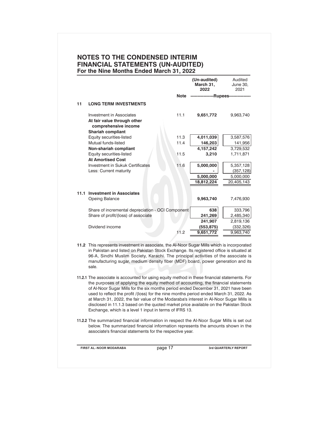|      |                                                                                                                                                                                                                                                                                                                                                                          |             | "<br>March 31,<br>2022                | 111112<br>June 30,<br>2021 |
|------|--------------------------------------------------------------------------------------------------------------------------------------------------------------------------------------------------------------------------------------------------------------------------------------------------------------------------------------------------------------------------|-------------|---------------------------------------|----------------------------|
|      |                                                                                                                                                                                                                                                                                                                                                                          | <b>Note</b> | ----------------Rupees--------------- |                            |
| 11   | <b>LONG TERM INVESTMENTS</b>                                                                                                                                                                                                                                                                                                                                             |             |                                       |                            |
|      | Investment in Associates<br>At fair value through other<br>comprehensive income<br><b>Shariah compliant</b>                                                                                                                                                                                                                                                              | 11.1        | 9,651,772                             | 9,963,740                  |
|      | Equity securities-listed                                                                                                                                                                                                                                                                                                                                                 | 11.3        | 4,011,039                             | 3,587,576                  |
|      | Mutual funds-listed                                                                                                                                                                                                                                                                                                                                                      | 11.4        | 146,203                               | 141,956                    |
|      | Non-shariah compliant                                                                                                                                                                                                                                                                                                                                                    |             | 4,157,242                             | 3,729,532                  |
|      | Equity securities-listed                                                                                                                                                                                                                                                                                                                                                 | 11.5        | 3,210                                 | 1,711,871                  |
|      | <b>At Amortised Cost</b>                                                                                                                                                                                                                                                                                                                                                 |             |                                       |                            |
|      | Investment in Sukuk Certificates                                                                                                                                                                                                                                                                                                                                         | 11.6        | 5,000,000                             | 5,357,128                  |
|      | Less: Current maturity                                                                                                                                                                                                                                                                                                                                                   |             |                                       | (357, 128)                 |
|      |                                                                                                                                                                                                                                                                                                                                                                          |             | 5,000,000                             | 5,000,000                  |
|      |                                                                                                                                                                                                                                                                                                                                                                          |             | 18,812,224                            | 20,405,143                 |
|      |                                                                                                                                                                                                                                                                                                                                                                          |             |                                       |                            |
| 11.1 | <b>Investment in Associates</b>                                                                                                                                                                                                                                                                                                                                          |             |                                       |                            |
|      | Opeing Balance                                                                                                                                                                                                                                                                                                                                                           |             | 9,963,740                             | 7,476,930                  |
|      | Share of incremental depreciation - OCI Component                                                                                                                                                                                                                                                                                                                        |             | 638                                   | 333,796                    |
|      | Share of profit/(loss) of associate                                                                                                                                                                                                                                                                                                                                      |             | 241,269                               | 2,485,340                  |
|      |                                                                                                                                                                                                                                                                                                                                                                          |             | 241,907                               | 2,819,136                  |
|      | Dividend income                                                                                                                                                                                                                                                                                                                                                          |             | (553, 875)                            | (332, 326)                 |
|      |                                                                                                                                                                                                                                                                                                                                                                          | 11.2        | 9,651,772                             | 9,963,740                  |
|      |                                                                                                                                                                                                                                                                                                                                                                          |             |                                       |                            |
|      | 11.2 This represents investment in associate, the Al-Noor Sugar Mills which is incorporated<br>in Pakistan and listed on Pakistan Stock Exchange. Its registered office is situated at<br>96-A, Sindhi Muslim Society, Karachi. The principal activities of the associate is<br>manufacturing sugar, medium density fiber (MDF) board, power generation and its<br>sale. |             |                                       |                            |

**(Un-audited)**

Audited

- **11.2.1** The associate is accounted for using equity method in these financial statements. For the purposes of applying the equity method of accounting, the financial statements of Al-Noor Sugar Mills for the six months period ended December 31, 2021 have been used to reflect the profit /(loss) for the nine months period ended March 31, 2022. As at March 31, 2022, the fair value of the Modaraba's interest in AI-Noor Sugar Mills is disclosed in 11.1.3 based on the quoted market price available on the Pakistan Stock Exchange, which is a level 1 input in terms of IFRS 13.
- **11.2.2** The summarized financial information in respect the AI-Noor Sugar Mills is set out below. The summarized financial information represents the amounts shown in the associate's financial statements for the respective year.

**FIRST AL-NOOR MODARABA** page 17 **3rd QUARTERLY REPORT**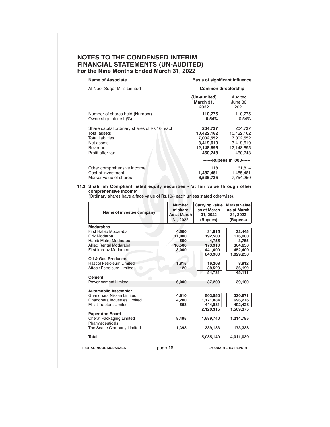| <b>Name of Associate</b>                                                                                                             | <b>Basis of significant influence</b>                                    |                                                                          |
|--------------------------------------------------------------------------------------------------------------------------------------|--------------------------------------------------------------------------|--------------------------------------------------------------------------|
| Al-Noor Sugar Mills Limited                                                                                                          | <b>Common directorship</b>                                               |                                                                          |
|                                                                                                                                      | (Un-audited)<br>March 31,<br>2022                                        | Audited<br>June 30,<br>2021                                              |
| Number of shares held (Number)<br>Ownership interest (%)                                                                             | 110,775<br>0.54%                                                         | 110,775<br>0.54%                                                         |
| Share capital ordinary shares of Rs 10. each<br>Total assets<br><b>Total liabilties</b><br>Net assets<br>Revenue<br>Profit after tax | 204,737<br>10,422,162<br>7,002,552<br>3,419,610<br>12,148,695<br>460,248 | 204,737<br>10,422,162<br>7,002,552<br>3.419.610<br>12,148,695<br>460.248 |
|                                                                                                                                      |                                                                          | ------Rupees in '000------                                               |
| Other comprehensive income<br>Cost of investment<br>Marker value of shares                                                           | 118<br>1,482,481<br>6,535,725                                            | 61,814<br>1,485,481<br>7,754,250                                         |

#### **11.3 Shahriah Compliant listed equity securities - 'at fair value through other comprehensive income'**

(Ordinary shares have a face value of Rs.10/- each unless stated otherwise).

| Name of investee company                                              | <b>Number</b><br>of share<br>As at March<br>31, 2022 | Carrying value<br>as at March<br>31, 2022<br>(Rupees) | <b>Market value</b><br>as at March<br>31, 2022<br>(Rupees) |
|-----------------------------------------------------------------------|------------------------------------------------------|-------------------------------------------------------|------------------------------------------------------------|
| <b>Modarabas</b>                                                      |                                                      |                                                       |                                                            |
| First Habib Modaraba                                                  | 4,500                                                | 31,815                                                | 32,445                                                     |
| Orix Modarba                                                          | 11.000                                               | 192,500                                               | 176.000                                                    |
| Habib Metro Modaraba                                                  | 500                                                  | 4.755                                                 | 3,755                                                      |
| Allied Rental Modaraba                                                | 16,500                                               | 173,910                                               | 364,650                                                    |
| First Imrooz Modaraba                                                 | 3.000                                                | 441,000                                               | 452,400                                                    |
|                                                                       |                                                      | 843,980                                               | 1,029,250                                                  |
| <b>Oil &amp; Gas Producers</b>                                        |                                                      |                                                       |                                                            |
| <b>Hascol Petroleum Limited</b><br><b>Attock Petroleum Limited</b>    | 1,815<br>120                                         | 16,208                                                | 8.912                                                      |
|                                                                       |                                                      | 38,523<br>54.731                                      | 36,199<br>45.111                                           |
| Cement<br>Power cement Limited                                        | 6,000                                                | 37,200                                                | 39,180                                                     |
| <b>Automobile Assembler</b>                                           |                                                      |                                                       |                                                            |
| Ghandhara Nissan Limited                                              | 4,610                                                | 503,550                                               | 320,671                                                    |
| Ghandhara Industries Limited                                          | 4,200                                                | 1,171,884                                             | 696,276                                                    |
| <b>Millat Tractors Limited</b>                                        | 568                                                  | 444.881                                               | 492.428                                                    |
|                                                                       |                                                      | 2,120,315                                             | 1,509,375                                                  |
| <b>Paper And Board</b><br>Cherat Packaging Limited<br>Pharmaceuticals | 8,495                                                | 1,689,740                                             | 1,214,785                                                  |
| The Searle Company Limited                                            | 1,398                                                | 339,183                                               | 173,338                                                    |
| <b>Total</b>                                                          |                                                      | 5,085,149                                             | 4,011,039                                                  |
| FIRST AL-NOOR MODARABA                                                | page 18                                              |                                                       | 3rd QUARTERLY REPORT                                       |

 $\overline{\phantom{0}}$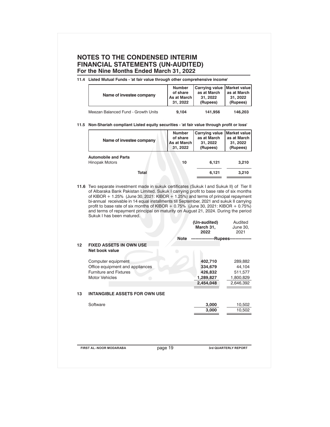|         | Name of investee company                                                                                                                                                                                                                                                                                                                                                                                                                                                                                                                                                                   | 11.4 Listed Mutual Funds - 'at fair value through other comprehensive income'<br><b>Market value</b> |                                                       |                                                            |  |  |  |
|---------|--------------------------------------------------------------------------------------------------------------------------------------------------------------------------------------------------------------------------------------------------------------------------------------------------------------------------------------------------------------------------------------------------------------------------------------------------------------------------------------------------------------------------------------------------------------------------------------------|------------------------------------------------------------------------------------------------------|-------------------------------------------------------|------------------------------------------------------------|--|--|--|
|         |                                                                                                                                                                                                                                                                                                                                                                                                                                                                                                                                                                                            | <b>Number</b><br>of share<br>As at March<br>31, 2022                                                 | Carrying value<br>as at March<br>31, 2022<br>(Rupees) | as at March<br>31, 2022<br>(Rupees)                        |  |  |  |
|         | Meezan Balanced Fund - Growth Units                                                                                                                                                                                                                                                                                                                                                                                                                                                                                                                                                        | 9.104                                                                                                | 141,956                                               | 146,203                                                    |  |  |  |
|         | 11.5 Non-Shariah compliant Listed equity securities - 'at fair value through profit or loss'                                                                                                                                                                                                                                                                                                                                                                                                                                                                                               |                                                                                                      |                                                       |                                                            |  |  |  |
|         | Name of investee company                                                                                                                                                                                                                                                                                                                                                                                                                                                                                                                                                                   | <b>Number</b><br>of share<br>As at March<br>31, 2022                                                 | Carrying value<br>as at March<br>31, 2022<br>(Rupees) | <b>Market value</b><br>as at March<br>31, 2022<br>(Rupees) |  |  |  |
|         | <b>Automobile and Parts</b><br><b>Hinopak Motors</b>                                                                                                                                                                                                                                                                                                                                                                                                                                                                                                                                       | 10                                                                                                   | 6,121                                                 | 3,210                                                      |  |  |  |
|         |                                                                                                                                                                                                                                                                                                                                                                                                                                                                                                                                                                                            |                                                                                                      | 6,121                                                 | 3,210                                                      |  |  |  |
|         | <b>Total</b><br>11.6 Two separate investment made in sukuk certificates (Sukuk I and Sukuk II) of Tier II<br>of Albaraka Bank Pakistan Limited. Sukuk I carrying profit to base rate of six months<br>of KIBOR + 1.25% (June 30, 2021: KIBOR + 1.25%) and terms of principal repayment<br>bi-annual receivable in 14 equal installments till September, 2021 and sukuk II carrying<br>profit to base rate of six months of KIBOR + 0.75% (June 30, 2021: KIBOR + 0.75%)<br>and terms of repayment principal on maturity on August 21, 2024. During the period<br>Sukuk I has been matured. |                                                                                                      | (Un-audited)                                          |                                                            |  |  |  |
|         |                                                                                                                                                                                                                                                                                                                                                                                                                                                                                                                                                                                            |                                                                                                      | March 31,<br>2022                                     | Audited<br>June 30,<br>2021                                |  |  |  |
|         |                                                                                                                                                                                                                                                                                                                                                                                                                                                                                                                                                                                            | Note                                                                                                 | ----------------Rupees---------------                 |                                                            |  |  |  |
| $12 \,$ | <b>FIXED ASSETS IN OWN USE</b><br>Net book value                                                                                                                                                                                                                                                                                                                                                                                                                                                                                                                                           | $\bigcirc$                                                                                           |                                                       |                                                            |  |  |  |
|         | Computer equipment<br>Office equipment and appliances                                                                                                                                                                                                                                                                                                                                                                                                                                                                                                                                      |                                                                                                      | 402,710<br>334,679                                    | 289,882<br>44,104                                          |  |  |  |
|         | <b>Furniture and Fixtures</b><br><b>Motor Vehicles</b><br>$\hspace{0.5cm} \bullet$                                                                                                                                                                                                                                                                                                                                                                                                                                                                                                         |                                                                                                      | 426,832<br>1,289,827<br>2,454,048                     | 511,577<br>1,800,829<br>2,646,392                          |  |  |  |
| 13      | <b>INTANGIBLE ASSETS FOR OWN USE</b>                                                                                                                                                                                                                                                                                                                                                                                                                                                                                                                                                       |                                                                                                      |                                                       |                                                            |  |  |  |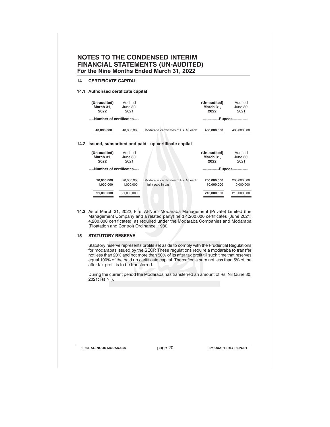| 14.1 Authorised certificate capital<br>(Un-audited)<br>Audited<br>March 31,<br>June 30,<br>2022<br>2021<br>----Number of certificates----<br>40,000,000<br>40,000,000<br>Audited<br>(Un-audited)<br>March 31,<br>June 30,<br>2022<br>2021<br>----Number of certificates----<br>20,000,000<br>20,000,000<br>1,000,000<br>1,000,000<br>21,000,000<br>21,000,000<br>Management Company and a related party) held 4,200,000 certificates (June 2021: | Modaraba certificates of Rs. 10 each<br>14.2 Issued, subscribed and paid - up certificate capital<br>Modaraba certificates of Rs. 10 each<br>fully paid in cash<br>14.3 As at March 31, 2022, First Al-Noor Modaraba Management (Private) Limited (the | (Un-audited)<br>March 31,<br>2022<br>400,000,000<br>(Un-audited)<br>March 31,<br>2022<br>-------------Rupees------------<br>200,000,000<br>10,000,000<br>210,000,000 | Audited<br>June 30,<br>2021<br>-------------Rupees------------<br>400,000,000<br>Audited<br>June 30,<br>2021<br>200,000,000<br>10,000,000<br>210,000,000                                                                                                                                                                                                                                                                                                             |
|--------------------------------------------------------------------------------------------------------------------------------------------------------------------------------------------------------------------------------------------------------------------------------------------------------------------------------------------------------------------------------------------------------------------------------------------------|--------------------------------------------------------------------------------------------------------------------------------------------------------------------------------------------------------------------------------------------------------|----------------------------------------------------------------------------------------------------------------------------------------------------------------------|----------------------------------------------------------------------------------------------------------------------------------------------------------------------------------------------------------------------------------------------------------------------------------------------------------------------------------------------------------------------------------------------------------------------------------------------------------------------|
|                                                                                                                                                                                                                                                                                                                                                                                                                                                  |                                                                                                                                                                                                                                                        |                                                                                                                                                                      |                                                                                                                                                                                                                                                                                                                                                                                                                                                                      |
|                                                                                                                                                                                                                                                                                                                                                                                                                                                  |                                                                                                                                                                                                                                                        |                                                                                                                                                                      |                                                                                                                                                                                                                                                                                                                                                                                                                                                                      |
|                                                                                                                                                                                                                                                                                                                                                                                                                                                  |                                                                                                                                                                                                                                                        |                                                                                                                                                                      |                                                                                                                                                                                                                                                                                                                                                                                                                                                                      |
|                                                                                                                                                                                                                                                                                                                                                                                                                                                  |                                                                                                                                                                                                                                                        |                                                                                                                                                                      |                                                                                                                                                                                                                                                                                                                                                                                                                                                                      |
|                                                                                                                                                                                                                                                                                                                                                                                                                                                  |                                                                                                                                                                                                                                                        |                                                                                                                                                                      |                                                                                                                                                                                                                                                                                                                                                                                                                                                                      |
|                                                                                                                                                                                                                                                                                                                                                                                                                                                  |                                                                                                                                                                                                                                                        |                                                                                                                                                                      |                                                                                                                                                                                                                                                                                                                                                                                                                                                                      |
|                                                                                                                                                                                                                                                                                                                                                                                                                                                  |                                                                                                                                                                                                                                                        |                                                                                                                                                                      |                                                                                                                                                                                                                                                                                                                                                                                                                                                                      |
|                                                                                                                                                                                                                                                                                                                                                                                                                                                  |                                                                                                                                                                                                                                                        |                                                                                                                                                                      |                                                                                                                                                                                                                                                                                                                                                                                                                                                                      |
|                                                                                                                                                                                                                                                                                                                                                                                                                                                  |                                                                                                                                                                                                                                                        |                                                                                                                                                                      |                                                                                                                                                                                                                                                                                                                                                                                                                                                                      |
| (Floatation and Control) Ordinance, 1980.                                                                                                                                                                                                                                                                                                                                                                                                        | 4,200,000 certificates), as required under the Modaraba Companies and Modaraba                                                                                                                                                                         |                                                                                                                                                                      |                                                                                                                                                                                                                                                                                                                                                                                                                                                                      |
|                                                                                                                                                                                                                                                                                                                                                                                                                                                  |                                                                                                                                                                                                                                                        |                                                                                                                                                                      |                                                                                                                                                                                                                                                                                                                                                                                                                                                                      |
|                                                                                                                                                                                                                                                                                                                                                                                                                                                  |                                                                                                                                                                                                                                                        |                                                                                                                                                                      |                                                                                                                                                                                                                                                                                                                                                                                                                                                                      |
|                                                                                                                                                                                                                                                                                                                                                                                                                                                  | 2021: Rs Nil).                                                                                                                                                                                                                                         | <b>STATUTORY RESERVE</b><br>after tax profit is to be transferred.                                                                                                   | Statutory reserve represents profits set aside to comply with the Prudential Regulations<br>for modarabas issued by the SECP. These regulations require a modaraba to transfer<br>not less than 20% and not more than 50% of its after tax profit till such time that reserves<br>equal 100% of the paid up ceritificate capital. Thereafter, a sum not less than 5% of the<br>During the current period the Modaraba has transferred an amount of Rs. Nil (June 30, |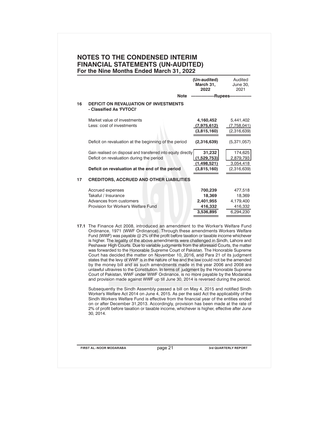|    |                                                                                                                                                                                                                                                                                                                                                                                                                                                                                                                                                                                                                                                                                                                                                                                                                                                                                                                                                                                                                                                             |         | (Un-audited)<br>March 31,<br>2022                      | Audited<br>June 30,<br>2021                            |  |  |
|----|-------------------------------------------------------------------------------------------------------------------------------------------------------------------------------------------------------------------------------------------------------------------------------------------------------------------------------------------------------------------------------------------------------------------------------------------------------------------------------------------------------------------------------------------------------------------------------------------------------------------------------------------------------------------------------------------------------------------------------------------------------------------------------------------------------------------------------------------------------------------------------------------------------------------------------------------------------------------------------------------------------------------------------------------------------------|---------|--------------------------------------------------------|--------------------------------------------------------|--|--|
|    |                                                                                                                                                                                                                                                                                                                                                                                                                                                                                                                                                                                                                                                                                                                                                                                                                                                                                                                                                                                                                                                             | Note    | --------------Rupees-----                              |                                                        |  |  |
| 16 | DEFICIT ON REVALUATION OF INVESTMENTS<br>- Classified As 'FVTOCI'                                                                                                                                                                                                                                                                                                                                                                                                                                                                                                                                                                                                                                                                                                                                                                                                                                                                                                                                                                                           |         |                                                        |                                                        |  |  |
|    | Market value of investments<br>Less: cost of investments                                                                                                                                                                                                                                                                                                                                                                                                                                                                                                                                                                                                                                                                                                                                                                                                                                                                                                                                                                                                    |         | 4,160,452<br>(7,975,612)<br>(3,815,160)                | 5,441,402<br>(7,758,041)<br>(2,316,639)                |  |  |
|    | Deficit on revaluation at the beginning of the period                                                                                                                                                                                                                                                                                                                                                                                                                                                                                                                                                                                                                                                                                                                                                                                                                                                                                                                                                                                                       |         | (2,316,639)                                            | (5,371,057)                                            |  |  |
|    | Gain realised on disposal and transferred into equity directly<br>Deficit on revaluation during the period                                                                                                                                                                                                                                                                                                                                                                                                                                                                                                                                                                                                                                                                                                                                                                                                                                                                                                                                                  |         | 31,232<br>(1,529,753)<br>(1,498,521)                   | 174,625<br>2,879,793<br>3,054,418                      |  |  |
|    | Deficit on revaluation at the end of the period                                                                                                                                                                                                                                                                                                                                                                                                                                                                                                                                                                                                                                                                                                                                                                                                                                                                                                                                                                                                             |         | (3,815,160)                                            | (2,316,639)                                            |  |  |
| 17 | <b>CREDITORS, ACCRUED AND OTHER LIABILITIES</b>                                                                                                                                                                                                                                                                                                                                                                                                                                                                                                                                                                                                                                                                                                                                                                                                                                                                                                                                                                                                             |         |                                                        |                                                        |  |  |
|    | Accrued expenses<br>Takaful / Insurance<br>Advances from customers<br>Provision for Worker's Welfare Fund                                                                                                                                                                                                                                                                                                                                                                                                                                                                                                                                                                                                                                                                                                                                                                                                                                                                                                                                                   |         | 700,239<br>18,369<br>2,401,955<br>416,332<br>3,536,895 | 477,518<br>18,369<br>4,179,400<br>416,332<br>6,294,230 |  |  |
|    | 17.1 The Finance Act 2008, introduced an amendment to the Worker's Welfare Fund<br>Ordinance, 1971 (WWF Ordinance). Through these amendments Workers Welfare<br>Fund (WWF) was payable $@$ 2% of the profit before taxation or taxable income whichever<br>is higher. The legality of the above amendments were challenged in Sindh, Lahore and<br>Peshawar High Courts. Due to variable judgments from the aforesaid Courts, the matter<br>was forwarded to the Honorable Supreme Court of Pakistan. The Honorable Supreme<br>Court has decided the matter on November 10, 2016, and Para 21 of its judgment<br>states that the levy of WWF is in the nature of fee and the law could not be the amended<br>by the money bill and as such amendments made in the year 2006 and 2008 are<br>unlawful ultravires to the Constitution. In terms of judgment by the Honorable Supreme<br>Court of Pakistan, WWF under WWF Ordinance, is no more payable by the Modaraba<br>and provision made against WWF up till June 30, 2014 is reversed during the period. |         |                                                        |                                                        |  |  |
|    | Subsequently the Sindh Assembly passed a bill on May 4, 2015 and notified Sindh<br>Worker's Welfare Act 2014 on June 4, 2015. As per the said Act the applicability of the<br>Sindh Workers Welfare Fund is effective from the financial year of the entities ended<br>on or after December 31,2013. Accordingly, provision has been made at the rate of<br>2% of profit before taxation or taxable income, whichever is higher, effective after June<br>30, 2014.                                                                                                                                                                                                                                                                                                                                                                                                                                                                                                                                                                                          |         |                                                        |                                                        |  |  |
|    |                                                                                                                                                                                                                                                                                                                                                                                                                                                                                                                                                                                                                                                                                                                                                                                                                                                                                                                                                                                                                                                             | page 21 | 3rd QUARTERLY REPORT                                   |                                                        |  |  |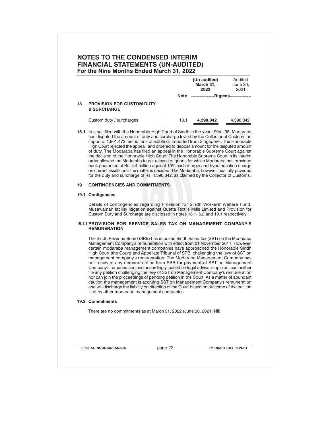|    |                                                                                                                                                                                                                                                                                                                                                                                                                                                                                                                                                                                                                                                                                                                                                                                                                                                                                                                                                                                                     |      | (Un-audited)<br>March 31,<br>2022      | Audited<br>June 30,<br>2021 |
|----|-----------------------------------------------------------------------------------------------------------------------------------------------------------------------------------------------------------------------------------------------------------------------------------------------------------------------------------------------------------------------------------------------------------------------------------------------------------------------------------------------------------------------------------------------------------------------------------------------------------------------------------------------------------------------------------------------------------------------------------------------------------------------------------------------------------------------------------------------------------------------------------------------------------------------------------------------------------------------------------------------------|------|----------------------------------------|-----------------------------|
|    |                                                                                                                                                                                                                                                                                                                                                                                                                                                                                                                                                                                                                                                                                                                                                                                                                                                                                                                                                                                                     | Note | -----------------Rupees--------------- |                             |
| 18 | <b>PROVISION FOR CUSTOM DUTY</b><br><b>&amp; SURCHARGE</b>                                                                                                                                                                                                                                                                                                                                                                                                                                                                                                                                                                                                                                                                                                                                                                                                                                                                                                                                          |      |                                        |                             |
|    | Custom duty / surcharges                                                                                                                                                                                                                                                                                                                                                                                                                                                                                                                                                                                                                                                                                                                                                                                                                                                                                                                                                                            | 18.1 | 4,398,842                              | 4,398,842                   |
|    | 18.1 In a suit filed with the Honorable High Court of Sindh in the year 1994 - 95, Modaraba<br>has disputed the amount of duty and surcharge levied by the Collector of Customs on<br>import of 1,901.472 metric tons of edible oil imported from Singapore . The Honorable<br>High Court rejected the appeal and ordered to deposit amount for the disputed amount<br>of duty. The Modaraba has filed an appeal in the Honorable Supreme Court against<br>the decision of the Honorable High Court. The Honorable Supreme Court in its interim<br>order allowed the Modaraba to get release of goods for which Modaraba has provided<br>bank guarantee of Rs. 4.4 million against 10% cash margin and hypothecation charge<br>on current assets until the matter is decided. The Modaraba, however, has fully provided<br>for the duty and surcharge of Rs. 4,398,842, as claimed by the Collector of Customs.                                                                                     |      |                                        |                             |
| 19 | <b>CONTINGENCIES AND COMMITMENTS</b>                                                                                                                                                                                                                                                                                                                                                                                                                                                                                                                                                                                                                                                                                                                                                                                                                                                                                                                                                                |      |                                        |                             |
|    | 19.1 Contigencies                                                                                                                                                                                                                                                                                                                                                                                                                                                                                                                                                                                                                                                                                                                                                                                                                                                                                                                                                                                   |      |                                        |                             |
|    | Details of contingencies regarding Provision for Sindh Workers' Welfare Fund,<br>Musawamah facility litigation against Quetta Textile Mills Limited and Provision for<br>Custom Duty and Surcharge are disclosed in notes 18.1, 6.2 and 19.1 respectively.                                                                                                                                                                                                                                                                                                                                                                                                                                                                                                                                                                                                                                                                                                                                          |      |                                        |                             |
|    | 19.1.1 PROVISION FOR SERVICE SALES TAX ON MANAGEMENT COMPANY'S<br><b>REMUNERATION</b>                                                                                                                                                                                                                                                                                                                                                                                                                                                                                                                                                                                                                                                                                                                                                                                                                                                                                                               |      |                                        |                             |
|    | The Sindh Revenue Board (SRB) has imposed Sindh Sales Tax (SST) on the Modaraba<br>Management Company's remuneration with effect from 01 November 2011. However,<br>certain modaraba management companies have approached the Honorable Sindh<br>High Court (the Court) and Appellate Tribunal of SRB, challenging the levy of SST on<br>management company's remuneration. The Modaraba Management Company has<br>not received any demand notice from SRB for payment of SST on Management<br>Company's remuneration and accordingly, based on legal advisor's opinion, can neither<br>file any petition challenging the levy of SST on Management Company's remuneration<br>nor can join the proceedings of pending petition in the Court. As a matter of abundant<br>caution the management is accruing SST on Management Company's remuneration<br>and will discharge the liability on direction of the Court based on outcome of the petition<br>filed by other modaraba management companies. |      |                                        |                             |
|    | <b>19.2 Commitments</b>                                                                                                                                                                                                                                                                                                                                                                                                                                                                                                                                                                                                                                                                                                                                                                                                                                                                                                                                                                             |      |                                        |                             |
|    | There are no commitments as at March 31, 2022 (June 30, 2021: Nil)                                                                                                                                                                                                                                                                                                                                                                                                                                                                                                                                                                                                                                                                                                                                                                                                                                                                                                                                  |      |                                        |                             |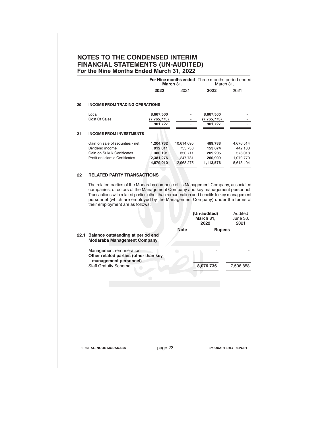|    |                                                                                                                                                                                                                                                                                             | 2022                   | March 31,<br>2021       | March 31,<br>2022                 | 2021                        |
|----|---------------------------------------------------------------------------------------------------------------------------------------------------------------------------------------------------------------------------------------------------------------------------------------------|------------------------|-------------------------|-----------------------------------|-----------------------------|
|    |                                                                                                                                                                                                                                                                                             |                        |                         |                                   |                             |
| 20 | <b>INCOME FROM TRADING OPERATIONS</b>                                                                                                                                                                                                                                                       |                        |                         |                                   |                             |
|    | Local                                                                                                                                                                                                                                                                                       | 8,667,500              |                         | 8,667,500                         |                             |
|    | Cost Of Sales                                                                                                                                                                                                                                                                               | (7,765,773)            |                         | (7,765,773)                       |                             |
|    |                                                                                                                                                                                                                                                                                             | 901,727                |                         | 901,727                           |                             |
| 21 | <b>INCOME FROM INVESTMENTS</b>                                                                                                                                                                                                                                                              |                        |                         |                                   |                             |
|    | Gain on sale of securities - net                                                                                                                                                                                                                                                            | 1,204,732              | 10,614,095              | 489,788                           | 4,676,514                   |
|    | Dividend income                                                                                                                                                                                                                                                                             | 912,811                | 755,738                 | 153,674                           | 442,138                     |
|    | Gain on Sukuk Certificates                                                                                                                                                                                                                                                                  | 380,191                | 350,711                 | 209,205                           | 576,018                     |
|    | Profit on Islamic Certificates                                                                                                                                                                                                                                                              | 2,381,276<br>4,879,010 | 1,247,731<br>12,968,275 | 260,909<br>1,113,576              | 1,070,770<br>5,613,404      |
|    |                                                                                                                                                                                                                                                                                             |                        |                         |                                   |                             |
| 22 | <b>RELATED PARTY TRANSACTIONS</b>                                                                                                                                                                                                                                                           |                        |                         |                                   |                             |
|    | companies, directors of the Management Company and key management personnel.<br>Transactions with related parties other than remuneration and benefits to key management<br>personnel (which are employed by the Management Company) under the terms of<br>their employment are as follows: |                        |                         |                                   |                             |
|    |                                                                                                                                                                                                                                                                                             |                        |                         | (Un-audited)<br>March 31,<br>2022 | Audited<br>June 30,<br>2021 |
|    |                                                                                                                                                                                                                                                                                             |                        |                         |                                   |                             |
|    |                                                                                                                                                                                                                                                                                             |                        |                         |                                   |                             |
|    | 22.1 Balance outstanding at period end<br><b>Modaraba Management Company</b>                                                                                                                                                                                                                |                        | Note                    | -----------Rupees------------     |                             |
|    |                                                                                                                                                                                                                                                                                             |                        |                         |                                   |                             |
|    | Management remuneration                                                                                                                                                                                                                                                                     |                        | $\Box$                  |                                   |                             |
|    | Other related parties (other than key                                                                                                                                                                                                                                                       |                        |                         |                                   |                             |
|    | management personnel)<br><b>Staff Gratutiy Scheme</b>                                                                                                                                                                                                                                       |                        |                         | 8,076,736                         |                             |
|    |                                                                                                                                                                                                                                                                                             |                        |                         |                                   |                             |
|    |                                                                                                                                                                                                                                                                                             |                        |                         |                                   | 7,506,858                   |
|    |                                                                                                                                                                                                                                                                                             | $\bigcirc$             |                         |                                   |                             |
|    |                                                                                                                                                                                                                                                                                             |                        |                         |                                   |                             |
|    |                                                                                                                                                                                                                                                                                             |                        |                         |                                   |                             |
|    |                                                                                                                                                                                                                                                                                             |                        |                         |                                   |                             |
|    |                                                                                                                                                                                                                                                                                             |                        |                         |                                   |                             |
|    |                                                                                                                                                                                                                                                                                             |                        |                         |                                   |                             |
|    |                                                                                                                                                                                                                                                                                             |                        |                         |                                   |                             |
|    |                                                                                                                                                                                                                                                                                             |                        |                         |                                   |                             |
|    |                                                                                                                                                                                                                                                                                             |                        |                         |                                   |                             |
|    |                                                                                                                                                                                                                                                                                             |                        |                         |                                   |                             |
|    | <b>FIRST AL-NOOR MODARABA</b>                                                                                                                                                                                                                                                               | page 23                |                         |                                   | 3rd QUARTERLY REPORT        |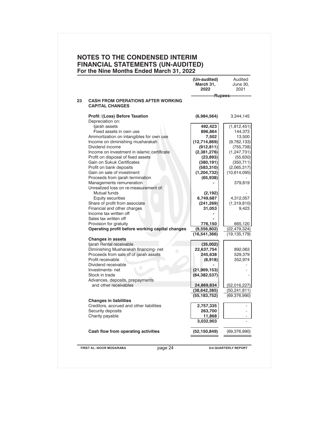|    |                                                      | (Un-audited)<br>March 31,<br>2022 | Audited<br>June 30,<br>2021  |
|----|------------------------------------------------------|-----------------------------------|------------------------------|
| 23 | <b>CASH FROM OPERATIONS AFTER WORKING</b>            |                                   | -------Rupees--------------- |
|    | <b>CAPITAL CHANGES</b>                               |                                   |                              |
|    | Profit /(Loss) Before Taxation                       | (6,984,564)                       | 3,344,145                    |
|    | Depreciation on:                                     |                                   |                              |
|    | ljarah assets<br>Fixed assets in own use             | 492,423                           | (1,812,451)                  |
|    | Ammortization on intangibles for own use             | 896,864                           | 144,373<br>13,500            |
|    | Income on diminishing musharakah                     | 7,502                             |                              |
|    | Dividend income                                      | (12,714,869)                      | (9,782,133)<br>(755, 738)    |
|    | Income on investment in islamic certificate          | (912, 811)                        |                              |
|    | Profit on disposal of fixed assets                   | (2,381,276)<br>(23, 893)          | (1, 247, 731)<br>(55, 630)   |
|    | Gain on Sukuk Certificates                           | (380, 191)                        | (350, 711)                   |
|    | Profit on bank deposits                              | (583, 310)                        | (2,065,317)                  |
|    | Gain on sale of investment                           | (1,204,732)                       | (10,614,095)                 |
|    | Proceeds from ijarah termination                     | (65, 938)                         |                              |
|    | Managements remuneration                             |                                   | 379,819                      |
|    | Unrealized loss on re-measurement of:                |                                   |                              |
|    | Mutual funds                                         | (2, 192)                          |                              |
|    | Equity securities                                    | 6,749,687                         | 4,312,057                    |
|    | Share of profit from associate                       | (241, 269)                        | (1,319,810)                  |
|    | Financial and other charges                          | 31,053                            | 9,423                        |
|    | Income tax written off                               |                                   |                              |
|    | Sales tax written off                                |                                   |                              |
|    | Provision for gratuity                               | 776,150                           | 665,120                      |
|    | Operating profit before working capital changes      | (9,556,802)                       | (22, 479, 324)               |
|    |                                                      | (16, 541, 366)                    | (19, 135, 179)               |
|    | <b>Changes in assets</b><br>Ijarah Rental receivable | (35,002)                          |                              |
|    | Diminishing Musharakah financing-net<br>$\bigcirc$   | 22,637,754                        | 892,063                      |
|    | Proceeds from sale of of ijarah assets               | 245,638                           | 529,379                      |
|    | Profit receivable                                    | (8,918)                           | 352,974                      |
|    | Dividend receivable                                  |                                   |                              |
|    | Investments-net                                      | (21,969,153)                      |                              |
|    | Stock in trade                                       | (64, 382, 537)                    |                              |
|    | Advances, deposits, prepayments                      |                                   |                              |
|    | and other receivables                                | 24,869,834                        | (52,016,227)                 |
|    |                                                      | (38, 642, 385)                    | (50, 241, 811)               |
|    |                                                      | (55, 183, 752)                    | (69, 376, 990)               |
|    | <b>Changes in liabilities</b>                        |                                   |                              |
|    | Creditors, accrued and other liabilities             | 2,757,335                         |                              |
|    | Security deposits                                    | 263,700                           |                              |
|    | Charity payable                                      | 11,868                            |                              |
|    |                                                      | 3,032,903                         |                              |
|    | Cash flow from operating activities                  | (52, 150, 849)                    | (69, 376, 990)               |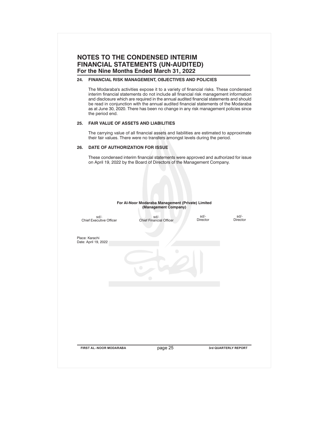### **24. FINANCIAL RISK MANAGEMENT, OBJECTIVES AND POLICIES**

The Modaraba's activities expose it to a variety of financial risks. These condensed interim financial statements do not include all financial risk management information and disclosure which are required in the annual audited financial statements and should be read in conjunction with the annual audited financial statements of the Modaraba as at June 30, 2020. There has been no change in any risk management policies since the period end.

### **25. FAIR VALUE OF ASSETS AND LIABILITIES**

The carrying value of all financial assets and liabilities are estimated to approximate their fair values. There were no transfers amongst levels during the period.

### **26. DATE OF AUTHORIZATION FOR ISSUE**

These condensed interim financial statements were approved and authorized for issue on April 19, 2022 by the Board of Directors of the Management Company.

|                                        | For Al-Noor Modaraba Management (Private) Limited<br>(Management Company) |                  |                  |
|----------------------------------------|---------------------------------------------------------------------------|------------------|------------------|
| sd/-<br><b>Chief Executive Officer</b> | sd/-<br>Chief Financial Officer                                           | sd/-<br>Director | sd/-<br>Director |
| Place: Karachi<br>Date: April 19, 2022 |                                                                           |                  |                  |
|                                        | o                                                                         |                  |                  |
|                                        |                                                                           |                  |                  |
|                                        |                                                                           |                  |                  |
|                                        |                                                                           |                  |                  |
|                                        |                                                                           |                  |                  |
|                                        |                                                                           |                  |                  |
|                                        |                                                                           |                  |                  |
|                                        |                                                                           |                  |                  |
|                                        |                                                                           |                  |                  |